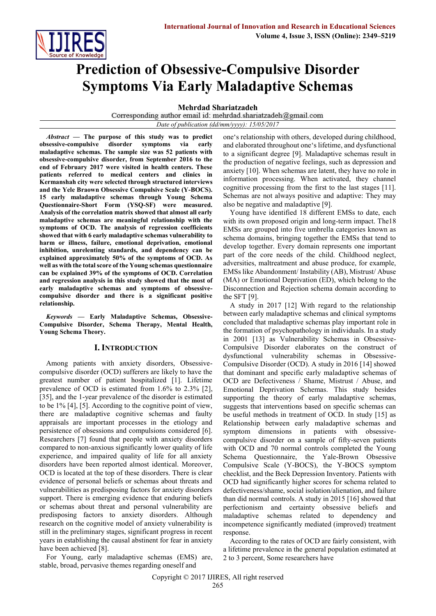

# **Prediction of Obsessive-Compulsive Disorder Symptoms Via Early Maladaptive Schemas**

**Mehrdad Shariatzadeh**<br>Corresponding author email id: mehrdad.shariatzadeh@gmail.com

*Date of publication (dd/mm/yyyy): 15/05/2017*

*Abstract* **— The purpose of this study was to predict obsessive-compulsive disorder symptoms via early maladaptive schemas. The sample size was 52 patients with obsessive-compulsive disorder, from September 2016 to the end of February 2017 were visited in health centers. These patients referred to medical centers and clinics in Kermanshah city were selected through structured interviews and the Yele Braown Obsessive Compulsive Scale (Y-BOCS). 15 early maladaptive schemas through Young Schema Questionnaire-Short Form (YSQ-SF) were measured. Analysis of the correlation matrix showed that almost all early maladaptive schemas are meaningful relationship with the symptoms of OCD. The analysis of regression coefficients showed that with 6 early maladaptive schemas vulnerability to harm or illness, failure, emotional deprivation, emotional inhibition, unrelenting standards, and dependency can be explained approximately 50% of the symptoms of OCD. As well as with the total score of the Young schemas questionnaire can be explained 39% of the symptoms of OCD. Correlation and regression analysis in this study showed that the most of early maladaptive schemas and symptoms of obsessivecompulsive disorder and there is a significant positive relationship.**

*Keywords* **— Early Maladaptive Schemas, Obsessive-Compulsive Disorder, Schema Therapy, Mental Health, Young Schema Theory.**

## **I. INTRODUCTION**

Among patients with anxiety disorders, Obsessivecompulsive disorder (OCD) sufferers are likely to have the greatest number of patient hospitalized [1]. Lifetime prevalence of OCD is estimated from 1.6% to 2.3% [2], [35], and the 1-year prevalence of the disorder is estimated to be 1% [4], [5]. According to the cognitive point of view, there are maladaptive cognitive schemas and faulty appraisals are important processes in the etiology and persistence of obsessions and compulsions considered [6]. Researchers [7] found that people with anxiety disorders compared to non-anxious significantly lower quality of life experience, and impaired quality of life for all anxiety disorders have been reported almost identical. Moreover, OCD is located at the top of these disorders. There is clear evidence of personal beliefs or schemas about threats and vulnerabilities as predisposing factors for anxiety disorders support. There is emerging evidence that enduring beliefs or schemas about threat and personal vulnerability are predisposing factors to anxiety disorders. Although research on the cognitive model of anxiety vulnerability is still in the preliminary stages, significant progress in recent years in establishing the causal abstinent for fear in anxiety have been achieved [8].

For Young, early maladaptive schemas (EMS) are, stable, broad, pervasive themes regarding oneself and

one's relationship with others, developed during childhood, and elaborated throughout one's lifetime, and dysfunctional to a significant degree [9]. Maladaptive schemas result in the production of negative feelings, such as depression and anxiety [10]. When schemas are latent, they have no role in information processing. When activated, they channel cognitive processing from the first to the last stages [11]. Schemas are not always positive and adaptive: They may also be negative and maladaptive [9].

Young have identified 18 different EMSs to date, each with its own proposed origin and long-term impact. The 18 EMSs are grouped into five umbrella categories known as schema domains, bringing together the EMSs that tend to develop together. Every domain represents one important part of the core needs of the child. Childhood neglect, adversities, maltreatment and abuse produce, for example, EMSs like Abandonment/ Instability (AB), Mistrust/ Abuse (MA) or Emotional Deprivation (ED), which belong to the Disconnection and Rejection schema domain according to the SFT [9].

A study in 2017 [12] With regard to the relationship between early maladaptive schemas and clinical symptoms concluded that maladaptive schemas play important role in the formation of psychopathology in individuals. In a study in 2001 [13] as Vulnerability Schemas in Obsessive-Compulsive Disorder elaborates on the construct of dysfunctional vulnerability schemas in Obsessive-Compulsive Disorder (OCD). A study in 2016 [14] showed that dominant and specific early maladaptive schemas of OCD are Defectiveness / Shame, Mistrust / Abuse, and Emotional Deprivation Schemas. This study besides supporting the theory of early maladaptive schemas, suggests that interventions based on specific schemas can be useful methods in treatment of OCD. In study [15] as Relationship between early maladaptive schemas and symptom dimensions in patients with obsessivecompulsive disorder on a sample of fifty-seven patients with OCD and 70 normal controls completed the Young Schema Questionnaire, the Yale-Brown Obsessive Compulsive Scale (Y-BOCS), the Y-BOCS symptom checklist, and the Beck Depression Inventory. Patients with OCD had significantly higher scores for schema related to defectiveness/shame, social isolation/alienation, and failure than did normal controls. A study in 2015 [16] showed that perfectionism and certainty obsessive beliefs and maladaptive schemas related to dependency and incompetence significantly mediated (improved) treatment response.

According to the rates of OCD are fairly consistent, with a lifetime prevalence in the general population estimated at 2 to 3 percent, Some researchers have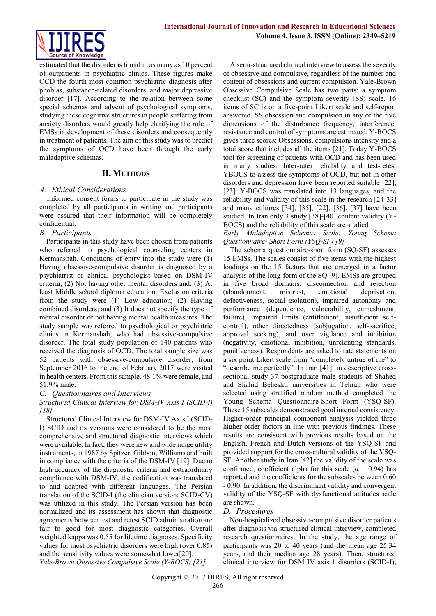

estimated that the disorder is found in as many as 10 percent of outpatients in psychiatric clinics. These figures make OCD the fourth most common psychiatric diagnosis after phobias, substance-related disorders, and major depressive disorder [17]. According to the relation between some special schemas and advent of psychological symptoms, studying these cognitive structures in people suffering from anxiety disorders would greatly help clarifying the role of EMSs in development of these disorders and consequently in treatment of patients. The aim of this study was to predict the symptoms of OCD have been through the early maladaptive schemas.

## **II. METHODS**

## *A. Ethical Considerations*

Informed consent forms to participate in the study was completed by all participants in writing and participants were assured that their information will be completely confidential.

## *B. Participants*

Participants in this study have been chosen from patients who referred to psychological counseling centers in Kermanshah. Conditions of entry into the study were (1) Having obsessive-compulsive disorder is diagnosed by a psychiatrist or clinical psychologist based on DSM-IV criteria; (2) Not having other mental disorders and; (3) At least Middle school diploma education. Exclusion criteria from the study were (1) Low education; (2) Having combined disorders; and (3) It does not specify the type of mental disorder or not having mental health measures. The study sample was referred to psychological or psychiatric clinics in Kermanshah, who had obsessive-compulsive disorder. The total study population of 140 patients who received the diagnosis of OCD. The total sample size was 52 patients with obsessive-compulsive disorder, from September 2016 to the end of February 2017 were visited in health centers. From this sample, 48.1% were female, and 51.9% male.

## *C. Questionnaires and Interviews*

## *Structured Clinical Interview for DSM-IV Axis I (SCID-I) [18]*

Structured Clinical Interview for DSM-IV Axis I (SCID-I) SCID and its versions were considered to be the most comprehensive and structured diagnostic interviews which were available. In fact, they were new and wide range utility instruments, in 1987 by Spitzer, Gibbon, Williams and built in compliance with the criteria of the DSM-IV [19]. Due to high accuracy of the diagnostic criteria and extraordinary compliance with DSM-IV, the codification was translated to and adapted with different languages. The Persian translation of the SCID-I (the clinician version: SCID-CV) was utilized in this study. The Persian version has been normalized and its assessment has shown that diagnostic agreements between test and retest SCID administration are fair to good for most diagnostic categories. Overall weighted kappa was 0.55 for lifetime diagnoses. Specificity values for most psychiatric disorders were high (over 0.85) and the sensitivity values were somewhat lower[20]. *Yale-Brown Obsessive Compulsive Scale (Y-BOCS) [21]*

A semi-structured clinical interview to assess the severity of obsessive and compulsive, regardless of the number and content of obsessions and current compulsion. Yale-Brown Obsessive Compulsive Scale has two parts: a symptom checklist (SC) and the symptom severity (SS) scale. 16 items of SC is on a five-point Likert scale and self-report answered. SS obsession and compulsion in any of the five dimensions of the disturbance frequency, interference, resistance and control of symptoms are estimated. Y-BOCS gives three scores: Obsessions, compulsions intensity and a total score that includes all the items [21]. Today Y-BOCS tool for screening of patients with OCD and has been used in many studies. Inter-rater reliability and test-retest YBOCS to assess the symptoms of OCD, but not in other disorders and depression have been reported suitable [22], [23]. Y-BOCS was translated into 13 languages, and the reliability and validity of this scale in the research [24-33] and many cultures [34], [35], [22], [36], [37] have been studied. In Iran only 3 study [38]-[40] content validity (Y-BOCS) and the reliability of this scale are studied.

*Early Maladaptive Schemas Scale: Young Schema Questionnaire- Short Form (YSQ-SF) [9]*

The schema questionnaire-short form (SQ-SF) assesses 15 EMSs. The scales consist of five items with the highest loadings on the 15 factors that are emerged in a factor analysis of the long-form of the SQ [9]. EMSs are grouped in five broad domains: disconnection and rejection (abandonment, mistrust, emotional deprivation, defectiveness, social isolation), impaired autonomy and performance (dependence, vulnerability, enmeshment, failure), impaired limits (entitlement, insufficient selfcontrol), other directedness (subjugation, self-sacrifice, approval seeking), and over vigilance and inhibition (negativity, emotional inhibition, unrelenting standards, punitiveness). Respondents are asked to rate statements on a six point Likert scale from "completely untrue of me" to "describe me perfectly". In Iran [41], in descriptive crosssectional study 37 postgraduate male students of Shahed and Shahid Beheshti universities in Tehran who were selected using stratified random method completed the Young Schema Questionnaire-Short Form (YSQ-SF). These 15 subscales demonstrated good internal consistency. Higher-order principal component analysis yielded three higher order factors in line with previous findings. These results are consistent with previous results based on the English, French and Dutch versions of the YSQ-SF and provided support for the cross-cultural validity of the YSQ-SF. Another study in Iran [42] the validity of the scale was confirmed, coefficient alpha for this scale ( $\alpha$  = 0.94) has reported and the coefficients for the subscales between 0.60 - 0.90. In addition, the discriminant validity and convergent validity of the YSQ-SF with dysfunctional attitudes scale are shown.

## *D. Procedures*

Non-hospitalized obsessive-compulsive disorder patients after diagnosis via structured clinical interview, completed research questionnaires. In the study, the age range of participants was 20 to 40 years (and the mean age 25.34 years, and their median age 28 years). Then, structured clinical interview for DSM IV axis 1 disorders (SCID-I),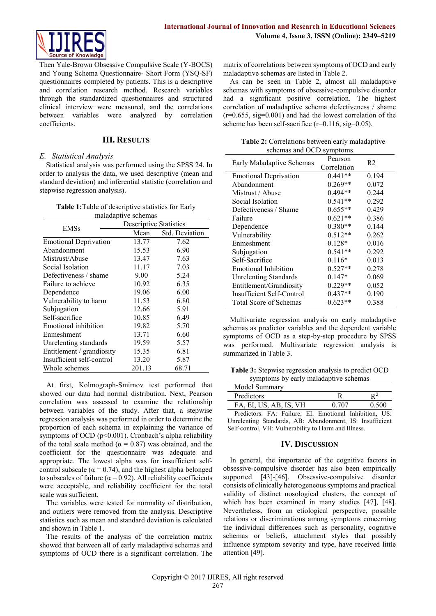Then Yale-Brown Obsessive Compulsive Scale (Y-BOCS) and Young Schema Questionnaire- Short Form (YSQ-SF) questionnaires completed by patients. This is a descriptive and correlation research method. Research variables through the standardized questionnaires and structured clinical interview were measured, and the correlations between variables were analyzed by correlation coefficients.

## **III. RESULTS**

## *E. Statistical Analysis*

Statistical analysis was performed using the SPSS 24. In order to analysis the data, we used descriptive (mean and standard deviation) and inferential statistic (correlation and stepwise regression analysis).

| <b>Table 1:</b> Table of descriptive statistics for Early |
|-----------------------------------------------------------|
| maladaptive schemas                                       |

| <b>EMSs</b>                  | <b>Descriptive Statistics</b> |                |
|------------------------------|-------------------------------|----------------|
|                              | Mean                          | Std. Deviation |
| <b>Emotional Deprivation</b> | 13.77                         | 7.62           |
| Abandonment                  | 15.53                         | 6.90           |
| Mistrust/Abuse               | 13.47                         | 7.63           |
| Social Isolation             | 11.17                         | 7.03           |
| Defectiveness / shame        | 9.00                          | 5.24           |
| Failure to achieve           | 10.92                         | 6.35           |
| Dependence                   | 19.06                         | 6.00           |
| Vulnerability to harm        | 11.53                         | 6.80           |
| Subjugation                  | 12.66                         | 5.91           |
| Self-sacrifice               | 10.85                         | 6.49           |
| Emotional inhibition         | 19.82                         | 5.70           |
| Enmeshment                   | 13.71                         | 6.60           |
| Unrelenting standards        | 19.59                         | 5.57           |
| Entitlement / grandiosity    | 15.35                         | 6.81           |
| Insufficient self-control    | 13.20                         | 5.87           |
| Whole schemes                | 201.13                        | 68.71          |

At first, Kolmograph-Smirnov test performed that showed our data had normal distribution. Next, Pearson correlation was assessed to examine the relationship between variables of the study. After that, a stepwise regression analysis was performed in order to determine the proportion of each schema in explaining the variance of symptoms of OCD (p<0.001). Cronbach's alpha reliability of the total scale method ( $\alpha$  = 0.87) was obtained, and the coefficient for the questionnaire was adequate and appropriate. The lowest alpha was for insufficient selfcontrol subscale ( $\alpha$  = 0.74), and the highest alpha belonged to subscales of failure ( $α = 0.92$ ). All reliability coefficients were acceptable, and reliability coefficient for the total scale was sufficient.

The variables were tested for normality of distribution, and outliers were removed from the analysis. Descriptive statistics such as mean and standard deviation is calculated and shown in Table 1.

The results of the analysis of the correlation matrix showed that between all of early maladaptive schemas and symptoms of OCD there is a significant correlation. The

matrix of correlations between symptoms of OCD and early maladaptive schemas are listed in Table 2.

As can be seen in Table 2, almost all maladaptive schemas with symptoms of obsessive-compulsive disorder had a significant positive correlation. The highest correlation of maladaptive schema defectiveness / shame  $(r=0.655, sig=0.001)$  and had the lowest correlation of the scheme has been self-sacrifice  $(r=0.116, sig=0.05)$ .

| Table 2: Correlations between early maladaptive |
|-------------------------------------------------|
| schemas and OCD symptoms                        |

| Early Maladaptive Schemas     | Pearson     | R <sub>2</sub> |
|-------------------------------|-------------|----------------|
|                               | Correlation |                |
| <b>Emotional Deprivation</b>  | $0.441**$   | 0.194          |
| Abandonment                   | $0.269**$   | 0.072          |
| Mistrust / Abuse              | $0.494**$   | 0.244          |
| Social Isolation              | $0.541**$   | 0.292          |
| Defectiveness / Shame         | $0.655**$   | 0.429          |
| Failure                       | $0.621**$   | 0.386          |
| Dependence                    | $0.380**$   | 0.144          |
| Vulnerability                 | $0.512**$   | 0.262          |
| Enmeshment                    | $0.128*$    | 0.016          |
| Subjugation                   | $0.541**$   | 0.292          |
| Self-Sacrifice                | $0.116*$    | 0.013          |
| Emotional Inhibition          | $0.527**$   | 0.278          |
| <b>Unrelenting Standards</b>  | $0.147*$    | 0.069          |
| Entitlement/Grandiosity       | $0.229**$   | 0.052          |
| Insufficient Self-Control     | $0.437**$   | 0.190          |
| <b>Total Score of Schemas</b> | $0.623**$   | 0.388          |

Multivariate regression analysis on early maladaptive schemas as predictor variables and the dependent variable symptoms of OCD as a step-by-step procedure by SPSS was performed. Multivariate regression analysis is summarized in Table 3.

**Table 3:** Stepwise regression analysis to predict OCD symptoms by early maladaptive schemas

| Model Summary                                          |       |       |
|--------------------------------------------------------|-------|-------|
| Predictors                                             |       | $R^2$ |
| FA, EI, US, AB, IS, VH                                 | 0.707 | 0.500 |
| Predictors: FA: Failure, EI: Emotional Inhibition, US: |       |       |

Unrelenting Standards, AB: Abandonment, IS: Insufficient Self-control, VH: Vulnerability to Harm and Illness.

## **IV. DISCUSSION**

In general, the importance of the cognitive factors in obsessive-compulsive disorder has also been empirically supported [43]-[46]. Obsessive-compulsive disorder consists of clinically heterogeneous symptoms and practical validity of distinct nosological clusters, the concept of which has been examined in many studies [47], [48]. Nevertheless, from an etiological perspective, possible relations or discriminations among symptoms concerning the individual differences such as personality, cognitive schemas or beliefs, attachment styles that possibly influence symptom severity and type, have received little attention [49].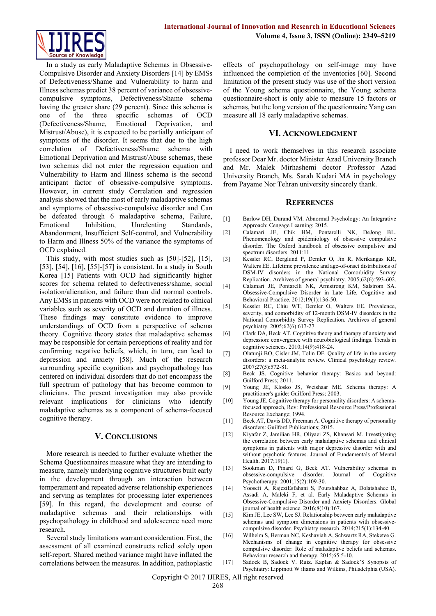

In a study as early Maladaptive Schemas in Obsessive-Compulsive Disorder and Anxiety Disorders [14] by EMSs of Defectiveness/Shame and Vulnerability to harm and Illness schemas predict 38 percent of variance of obsessivecompulsive symptoms, Defectiveness/Shame schema having the greater share (29 percent). Since this schema is one of the three specific schemas of OCD (Defectiveness/Shame, Emotional Deprivation, and Mistrust/Abuse), it is expected to be partially anticipant of symptoms of the disorder. It seems that due to the high correlation of Defectiveness/Shame schema with Emotional Deprivation and Mistrust/Abuse schemas, these two schemas did not enter the regression equation and Vulnerability to Harm and Illness schema is the second anticipant factor of obsessive-compulsive symptoms. However, in current study Correlation and regression analysis showed that the most of early maladaptive schemas and symptoms of obsessive-compulsive disorder and Can be defeated through 6 maladaptive schema, Failure, Emotional Inhibition, Unrelenting Standards, Abandonment, Insufficient Self-control, and Vulnerability to Harm and Illness 50% of the variance the symptoms of OCD explained.

This study, with most studies such as [50]-[52], [15], [53], [54], [16], [55]-[57] is consistent. In a study in South Korea [15] Patients with OCD had significantly higher scores for schema related to defectiveness/shame, social isolation/alienation, and failure than did normal controls. Any EMSs in patients with OCD were not related to clinical variables such as severity of OCD and duration of illness. These findings may constitute evidence to improve understandings of OCD from a perspective of schema theory. Cognitive theory states that maladaptive schemas may be responsible for certain perceptions of reality and for confirming negative beliefs, which, in turn, can lead to depression and anxiety [58]. Much of the research surrounding specific cognitions and psychopathology has centered on individual disorders that do not encompass the full spectrum of pathology that has become common to clinicians. The present investigation may also provide relevant implications for clinicians who identify maladaptive schemas as a component of schema-focused cognitive therapy.

## **V. CONCLUSIONS**

More research is needed to further evaluate whether the Schema Questionnaires measure what they are intending to measure, namely underlying cognitive structures built early in the development through an interaction between temperament and repeated adverse relationship experiences and serving as templates for processing later experiences [59]. In this regard, the development and course of maladaptive schemas and their relationships with psychopathology in childhood and adolescence need more research.

Several study limitations warrant consideration. First, the assessment of all examined constructs relied solely upon self-report. Shared method variance might have inflated the correlations between the measures. In addition, pathoplastic effects of psychopathology on self-image may have influenced the completion of the inventories [60]. Second limitation of the present study was use of the short version of the Young schema questionnaire, the Young schema questionnaire-short is only able to measure 15 factors or schemas, but the long version of the questionnaire Yang can measure all 18 early maladaptive schemas.

#### **VI. ACKNOWLEDGMENT**

I need to work themselves in this research associate professor Dear Mr. doctor Minister Azad University Branch and Mr. Malek Mirhashemi doctor Professor Azad University Branch, Ms. Sarah Kudari MA in psychology from Payame Nor Tehran university sincerely thank.

#### **REFERENCES**

- [1] Barlow DH, Durand VM. Abnormal Psychology: An Integrative Approach: Cengage Learning; 2015.
- [2] Calamari JE, Chik HM, Pontarelli NK, DeJong BL. Phenomenology and epidemiology of obsessive compulsive disorder. The Oxford handbook of obsessive compulsive and spectrum disorders. 2011:11.
- [3] Kessler RC, Berglund P, Demler O, Jin R, Merikangas KR, Walters EE. Lifetime prevalence and age-of-onset distributions of DSM-IV disorders in the National Comorbidity Survey Replication. Archives of general psychiatry. 2005;62(6):593-602.
- [4] Calamari JE, Pontarelli NK, Armstrong KM, Salstrom SA. Obsessive-Compulsive Disorder in Late Life. Cognitive and Behavioral Practice. 2012;19(1):136-50.
- [5] Kessler RC, Chiu WT, Demler O, Walters EE. Prevalence, severity, and comorbidity of 12-month DSM-IV disorders in the National Comorbidity Survey Replication. Archives of general psychiatry. 2005;62(6):617-27.
- [6] Clark DA, Beck AT. Cognitive theory and therapy of anxiety and depression: convergence with neurobiological findings. Trends in cognitive sciences. 2010;14(9):418-24.
- [7] Olatunji BO, Cisler JM, Tolin DF. Quality of life in the anxiety disorders: a meta-analytic review. Clinical psychology review. 2007;27(5):572-81.
- [8] Beck JS. Cognitive behavior therapy: Basics and beyond: Guilford Press; 2011.
- [9] Young JE, Klosko JS, Weishaar ME. Schema therapy: A practitioner's guide: Guilford Press; 2003.
- [10] Young JE. Cognitive therapy for personality disorders: A schemafocused approach, Rev: Professional Resource Press/Professional Resource Exchange; 1994.
- [11] Beck AT, Davis DD, Freeman A. Cognitive therapy of personality disorders: Guilford Publications; 2015.
- [12] Kiyafar Z, Jamilian HR, Oliyaei ZS, Khansari M. Investigating the correlation between early maladaptive schemas and clinical symptoms in patients with major depressive disorder with and without psychotic features. Journal of Fundamentals of Mental Health. 2017;19(1).
- [13] Sookman D, Pinard G, Beck AT. Vulnerability schemas in obsessive-compulsive disorder. Journal of Cognitive Psychotherapy. 2001;15(2):109-30.
- [14] Yoosefi A, RajeziEsfahani S, Pourshahbaz A, Dolatshahee B, Assadi A, Maleki F, et al. Early Maladaptive Schemas in Obsessive-Compulsive Disorder and Anxiety Disorders. Global journal of health science. 2016;8(10):167.
- [15] Kim JE, Lee SW, Lee SJ. Relationship between early maladaptive schemas and symptom dimensions in patients with obsessivecompulsive disorder. Psychiatry research. 2014;215(1):134-40.
- [16] Wilhelm S, Berman NC, Keshaviah A, Schwartz RA, Steketee G. Mechanisms of change in cognitive therapy for obsessive compulsive disorder: Role of maladaptive beliefs and schemas. Behaviour research and therapy. 2015;65:5-10.
- [17] Sadock B, Sadock V. Ruiz. Kaplan & Sadock'S Synopsis of Psychiatry: Lippinott W iliams and Wilkins, Philadelphia (USA).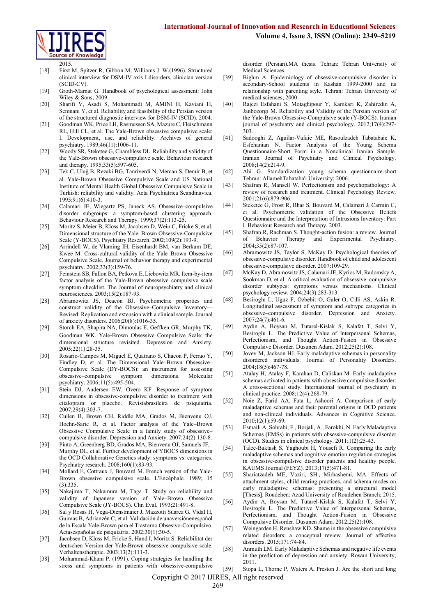

2015.

- [18] First M, Spitzer R, Gibbon M, Williams J. W.(1996). Structured clinical interview for DSM-IV axis I disorders, clinician version (SCID-CV).
- [19] Groth-Marnat G. Handbook of psychological assessment: John Wiley & Sons; 2009.
- [20] Sharifi V, Asadi S, Mohammadi M, AMINI H, Kaviani H, Semnani Y, et al. Reliability and feasibility of the Persian version of the structured diagnostic interview for DSM-IV (SCID). 2004.
- [21] Goodman WK, Price LH, Rasmussen SA, Mazure C, Fleischmann RL, Hill CL, et al. The Yale-Brown obsessive compulsive scale: I. Development, use, and reliability. Archives of general psychiatry. 1989;46(11):1006-11.
- [22] Woody SR, Steketee G, Chambless DL. Reliability and validity of the Yale-Brown obsessive-compulsive scale. Behaviour research and therapy. 1995;33(5):597-605.
- [23] Tek C, Uluǧ B, Rezaki BG, Tanriverdi N, Mercan S, Demir B, et al. Yale‐Brown Obsessive Compulsive Scale and US National Institute of Mental Health Global Obsessive Compulsive Scale in Turkish: reliability and validity. Acta Psychiatrica Scandinavica.  $1995.91(6)$ :410-3
- [24] Calamari JE, Wiegartz PS, Janeck AS. Obsessive–compulsive disorder subgroups: a symptom-based clustering approach. Behaviour Research and Therapy. 1999;37(2):113-25.
- [25] Moritz S, Meier B, Kloss M, Jacobsen D, Wein C, Fricke S, et al. Dimensional structure of the Yale–Brown Obsessive-Compulsive Scale (Y-BOCS). Psychiatry Research. 2002;109(2):193-9.
- [26] Arrindell W, de Vlaming IH, Eisenhardt BM, van Berkum DE, Kwee M. Cross-cultural validity of the Yale–Brown Obsessive Compulsive Scale. Journal of behavior therapy and experimental psychiatry. 2002;33(3):159-76.
- [27] Feinstein SB, Fallon BA, Petkova E, Liebowitz MR. Item-by-item factor analysis of the Yale-Brown obsessive compulsive scale symptom checklist. The Journal of neuropsychiatry and clinical neurosciences. 2003;15(2):187-93.
- [28] Abramowitz JS, Deacon BJ. Psychometric properties and construct validity of the Obsessive–Compulsive Inventory-Revised: Replication and extension with a clinical sample. Journal of anxiety disorders. 2006;20(8):1016-35.
- [29] Storch EA, Shapira NA, Dimoulas E, Geffken GR, Murphy TK, Goodman WK. Yale‐Brown Obsessive Compulsive Scale: the dimensional structure revisited. Depression and Anxiety. 2005;22(1):28-35.
- [30] Rosario-Campos M, Miguel E, Quatrano S, Chacon P, Ferrao Y, Findley D, et al. The Dimensional Yale–Brown Obsessive– Compulsive Scale (DY-BOCS): an instrument for assessing obsessive–compulsive symptom dimensions. Molecular psychiatry. 2006;11(5):495-504.
- [31] Stein DJ, Andersen EW, Overo KF. Response of symptom dimensions in obsessive-compulsive disorder to treatment with citalopram or placebo. Revistabrasileira de psiquiatria. 2007;29(4):303-7.
- [32] Cullen B, Brown CH, Riddle MA, Grados M, Bienvenu OJ, Hoehn‐Saric R, et al. Factor analysis of the Yale–Brown Obsessive Compulsive Scale in a family study of obsessive– compulsive disorder. Depression and Anxiety. 2007;24(2):130-8.
- [33] Pinto A, Greenberg BD, Grados MA, Bienvenu OJ, Samuels JF, Murphy DL, et al. Further development of YBOCS dimensions in the OCD Collaborative Genetics study: symptoms vs. categories. Psychiatry research. 2008;160(1):83-93.
- [34] Mollard E, Cottraux J, Bouvard M. French version of the Yale-Brown obsessive compulsive scale. L'Encéphale. 1989; 15 (3):335.
- [35] Nakajima T, Nakamura M, Taga T. Study on reliability and validity of Japanese version of Yale–Brown Obsessive Compulsive Scale (JY-BOCS). Clin Eval. 1993;21:491-8.
- [36] Sal y Rosas H, Vega-Dienstmaier J, Mazzotti Suárez G, Vidal H, Guimas B, Adrianzén C, et al. Validación de unaversiónenespañol de la Escala Yale-Brown para el Trastorno Obsesivo-Compulsivo. Actasespañolas de psiquiatría. 2002;30(1):30-5.
- [37] Jacobsen D, Kloss M, Fricke S, Hand I, Moritz S. Reliabilität der deutschen Version der Yale-Brown obsessive compulsive scale. Verhaltenstherapie. 2003;13(2):111-3.
- [38] Mohammad-Khani P. (1991). Coping strategies for handling the stress and symptoms in patients with obsessive-compulsive

disorder (Persian).MA thesis. Tehran: Tehran University of Medical Sciences.

- [39] Bighm A. Epidemiology of obsessive-compulsive disorder in secondary-School students in Kashan 1999-2000 and its relationship with parenting style. Tehran: Tehran University of medical sciences; 2000.
- [40] Rajezi Esfahani S, Motaghipour Y, Kamkari K, Zahiredin A, Janbozorgi M. Reliability and Validity of the Persian version of the Yale-Brown Obsessive-Compulsive scale (Y-BOCS). Iranian journal of psychiatry and clinical psychology. 2012;17(4):297- 303.
- [41] Sadooghi Z, Aguilar-Vafaie ME, Rasoulzadeh Tabatabaie K, Esfehanian N. Factor Analysis of the Young Schema Questionnaire-Short Form in a Nonclinical Iranian Sample. Iranian Journal of Psychiatry and Clinical Psychology. 2008;14(2):214-9.
- [42] Ahi G. Standardization young schema questionnaire-short Tehran: AllamehTabataba'i University; 2006.
- [43] Shafran R, Mansell W. Perfectionism and psychopathology: A review of research and treatment. Clinical Psychology Review. 2001;21(6):879-906.
- [44] Steketee G, Frost R, Bhar S, Bouvard M, Calamari J, Carmin C, et al. Psychometric validation of the Obsessive Beliefs Questionnaire and the Interpretation of Intrusions Inventory: Part I. Behaviour Research and Therapy. 2003.
- [45] Shafran R, Rachman S. Thought-action fusion: a review. Journal of Behavior Therapy and Experimental Psychiatry. 2004;35(2):87-107.
- [46] Abramowitz JS, Taylor S, McKay D. Psychological theories of obsessive-compulsive disorder. Handbook of child and adolescent obsessive-compulsive disorder. 2007:109-29.
- [47] McKay D, Abramowitz JS, Calamari JE, Kyrios M, Radomsky A, Sookman D, et al. A critical evaluation of obsessive–compulsive disorder subtypes: symptoms versus mechanisms. Clinical psychology review. 2004;24(3):283-313.
- [48] Besiroglu L, Uguz F, Ozbebit O, Guler O, Cilli AS, Askin R. Longitudinal assessment of symptom and subtype categories in obsessive–compulsive disorder. Depression and Anxiety. 2007;24(7):461-6.
- [49] Aydin A, Boysan M, Tutarel-Kislak S, Kalafat T, Selvi Y, Besiroglu L. The Predictive Value of Interpersonal Schemas, Perfectionism, and Thought Action-Fusion in Obsessive Compulsive Disorder. Dusunen Adam. 2012;25(2):108.
- [50] Jovev M, Jackson HJ. Early maladaptive schemas in personality disordered individuals. Journal of Personality Disorders. 2004;18(5):467-78.
- [51] Atalay H, Atalay F, Karahan D, Caliskan M. Early maladaptive schemas activated in patients with obsessive compulsive disorder: A cross-sectional study. International journal of psychiatry in clinical practice. 2008;12(4):268-79.
- [52] Noie Z, Farid AA, Fata L, Ashoori A. Comparison of early maladaptive schemas and their parental origins in OCD patients and non-clinical individuals. Advances in Cognitive Science. 2010;12(1):59-69.
- [53] Esmaili A, Sohrabi, F., Borjali, A., Farokhi, N. Early Maladaptive Schemas (EMSs) in patients with obsessive-compulsive disorder (OCD). Studies in clinical psychology. 2011;1(2):25-43.
- [54] Talee-Baktash S, Yaghoubi H, Yousefi R. Comparing the early maladaptive schemas and cognitive emotion regulation strategies in obsessive-compulsive disorder patients and healthy people. KAUMS Journal (FEYZ). 2013;17(5):471-81.
- [55] Shariatzadeh ME, Vaziri, SH., Mirhashemi, MA. Effects of attachment styles, child rearing practices, and schema modes on early maladaptive schemas: presenting a structural model [Thesis]. Roudehen: Azad University of Roudehen Branch; 2015.
- [56] Aydin A, Boysan M, Tutarel-Kislak S, Kalafat T, Selvi Y, Besiroglu L. The Predictive Value of Interpersonal Schemas, Perfectionism, and Thought Action-Fusion in Obsessive Compulsive Disorder. Dusunen Adam. 2012;25(2):108.
- [57] Weingarden H, Renshaw KD. Shame in the obsessive compulsive related disorders: a conceptual review. Journal of affective disorders. 2015;171:74-84.
- [58] Anmuth LM. Early Maladaptive Schemas and negative life events in the prediction of depression and anxiety: Rowan University; 2011.
- Copyright © 2017 IJIRES, All right reserved [59] Stopa L, Thorne P, Waters A, Preston J. Are the short and long